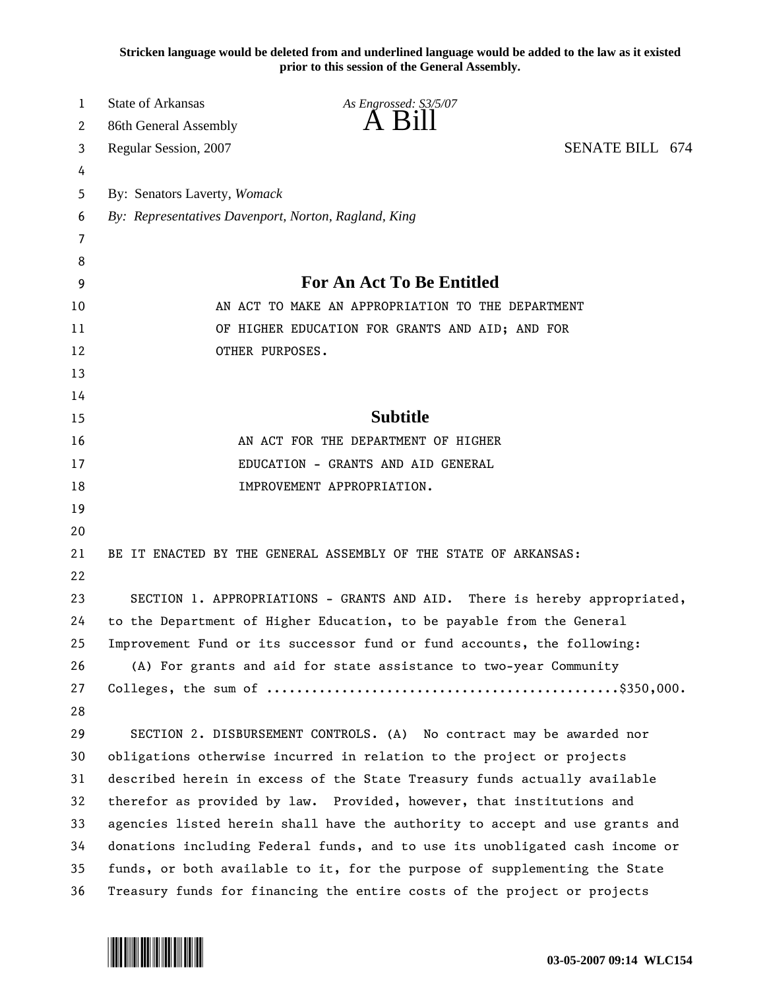**Stricken language would be deleted from and underlined language would be added to the law as it existed prior to this session of the General Assembly.**

| 1  | <b>State of Arkansas</b>                                                     | As Engrossed: S3/5/07                                                      |  |
|----|------------------------------------------------------------------------------|----------------------------------------------------------------------------|--|
| 2  | 86th General Assembly                                                        | A Bill                                                                     |  |
| 3  | Regular Session, 2007                                                        | <b>SENATE BILL 674</b>                                                     |  |
| 4  |                                                                              |                                                                            |  |
| 5  | By: Senators Laverty, Womack                                                 |                                                                            |  |
| 6  | By: Representatives Davenport, Norton, Ragland, King                         |                                                                            |  |
| 7  |                                                                              |                                                                            |  |
| 8  |                                                                              |                                                                            |  |
| 9  | <b>For An Act To Be Entitled</b>                                             |                                                                            |  |
| 10 |                                                                              | AN ACT TO MAKE AN APPROPRIATION TO THE DEPARTMENT                          |  |
| 11 |                                                                              | OF HIGHER EDUCATION FOR GRANTS AND AID; AND FOR                            |  |
| 12 | OTHER PURPOSES.                                                              |                                                                            |  |
| 13 |                                                                              |                                                                            |  |
| 14 |                                                                              |                                                                            |  |
| 15 |                                                                              | <b>Subtitle</b>                                                            |  |
| 16 |                                                                              | AN ACT FOR THE DEPARTMENT OF HIGHER                                        |  |
| 17 | EDUCATION - GRANTS AND AID GENERAL                                           |                                                                            |  |
| 18 |                                                                              | IMPROVEMENT APPROPRIATION.                                                 |  |
| 19 |                                                                              |                                                                            |  |
| 20 |                                                                              |                                                                            |  |
| 21 |                                                                              | BE IT ENACTED BY THE GENERAL ASSEMBLY OF THE STATE OF ARKANSAS:            |  |
| 22 |                                                                              |                                                                            |  |
| 23 |                                                                              | SECTION 1. APPROPRIATIONS - GRANTS AND AID. There is hereby appropriated,  |  |
| 24 | to the Department of Higher Education, to be payable from the General        |                                                                            |  |
| 25 | Improvement Fund or its successor fund or fund accounts, the following:      |                                                                            |  |
| 26 | (A) For grants and aid for state assistance to two-year Community            |                                                                            |  |
| 27 |                                                                              |                                                                            |  |
| 28 |                                                                              |                                                                            |  |
| 29 |                                                                              | SECTION 2. DISBURSEMENT CONTROLS. (A) No contract may be awarded nor       |  |
| 30 |                                                                              | obligations otherwise incurred in relation to the project or projects      |  |
| 31 |                                                                              | described herein in excess of the State Treasury funds actually available  |  |
| 32 | therefor as provided by law. Provided, however, that institutions and        |                                                                            |  |
| 33 | agencies listed herein shall have the authority to accept and use grants and |                                                                            |  |
| 34 | donations including Federal funds, and to use its unobligated cash income or |                                                                            |  |
| 35 |                                                                              | funds, or both available to it, for the purpose of supplementing the State |  |
| 36 |                                                                              | Treasury funds for financing the entire costs of the project or projects   |  |